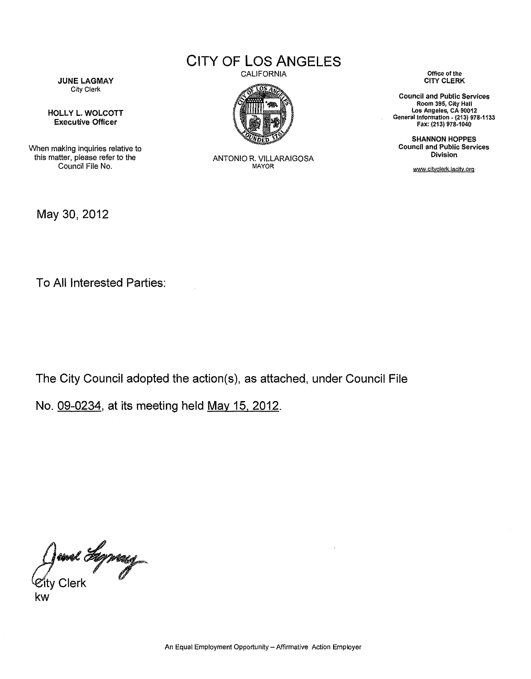CITY **OF LOS ANGELES**

**JUNE LAGMAY** City Clerk

HOllY l. WOLCOTT Executive Officer

When making inquiries relative to this matter, please refer to the Council File No.

May 30,2012

CALIFORNIA



ANTONIO R. VILLARAIGOSA MAYOR

**Office of the** CITY CLERK

**Council and Public Services Room 395, City Hall los Angeles, CA 90012** General Information - **(213) 978-1133** Fax: (213) 978·1040

SHANNON HOPPES **Council and Public Services Division**

www.cityclerk.lacity.org

To All Interested Parties:

The City Council adopted the action(s), as attached, under Council File

No. 09-0234, at its meeting held May 15, 2012.

*dend Hypergress* 

kw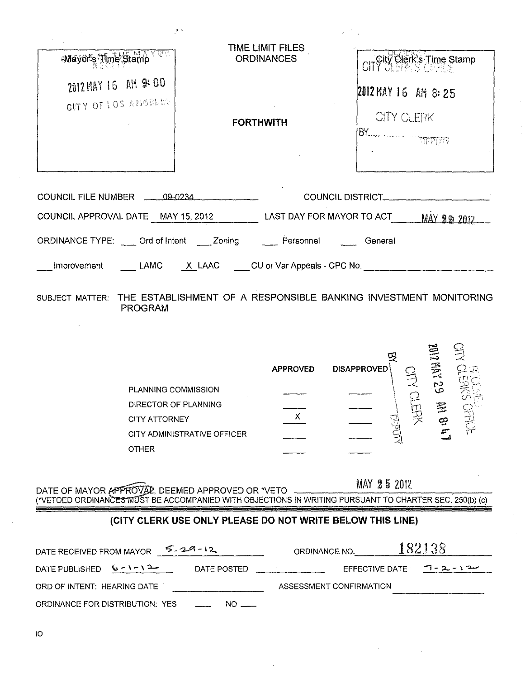| Wayor's Time Stamp                         | TIME LIMIT FILES<br><b>ORDINANCES</b>                                            | CITY Clerk's Time Stamp                                                                                                                                                                                                                                                                                                                                                  |
|--------------------------------------------|----------------------------------------------------------------------------------|--------------------------------------------------------------------------------------------------------------------------------------------------------------------------------------------------------------------------------------------------------------------------------------------------------------------------------------------------------------------------|
| 2012 MAY 16 AM 9:00<br>CITY OF LOS ANOTHER |                                                                                  | 2012 MAY 16 AM 8:25                                                                                                                                                                                                                                                                                                                                                      |
|                                            | <b>FORTHWITH</b>                                                                 | <b>CITY CLERK</b><br>$\begin{picture}(180,10) \put(0,0){\line(1,0){10}} \put(10,0){\line(1,0){10}} \put(10,0){\line(1,0){10}} \put(10,0){\line(1,0){10}} \put(10,0){\line(1,0){10}} \put(10,0){\line(1,0){10}} \put(10,0){\line(1,0){10}} \put(10,0){\line(1,0){10}} \put(10,0){\line(1,0){10}} \put(10,0){\line(1,0){10}} \put(10,0){\line(1,0){10}} \put(10,0){\line($ |
| COUNCIL FILE NUMBER 49-0234                |                                                                                  | COUNCIL DISTRICT_________                                                                                                                                                                                                                                                                                                                                                |
|                                            | COUNCIL APPROVAL DATE MAY 15, 2012 LAST DAY FOR MAYOR TO ACT MAY 29 2012         |                                                                                                                                                                                                                                                                                                                                                                          |
|                                            | ORDINANCE TYPE: Crd of Intent Zoning ___ Personnel ___ General                   |                                                                                                                                                                                                                                                                                                                                                                          |
|                                            | Improvement LAMC X LAAC CU or Var Appeals - CPC No.                              |                                                                                                                                                                                                                                                                                                                                                                          |
|                                            | SUBJECT MATTER: THE ESTABLISHMENT OF A RESPONSIBLE BANKING INVESTMENT MONITORING |                                                                                                                                                                                                                                                                                                                                                                          |

PROGRAM

 $\varphi_{\rm s} \gtrsim \varphi_{\rm s}$ 

|                             | <b>APPROVED</b> | 떶<br><b>DISAPPROVED</b> |      | Ë<br>I  |   |
|-----------------------------|-----------------|-------------------------|------|---------|---|
| PLANNING COMMISSION         |                 |                         |      | v<br>ί۵ |   |
| DIRECTOR OF PLANNING        |                 |                         |      | $\Xi$   |   |
| <b>CITY ATTORNEY</b>        |                 |                         | ન્ન્ | ထ့      | 言 |
| CITY ADMINISTRATIVE OFFICER |                 |                         |      | x       |   |
| <b>OTHER</b>                |                 |                         |      |         |   |

DATE OF MAYOR APPROVAL, DEEMED APPROVED OR \*VETO \_\_\_\_\_\_\_\_\_\_\_\_\_\_\_\_\_\_\_\_\_\_\_\_\_\_\_\_\_\_\_\_ (\*VETOED ORDINANCES MUST BE ACCOMPANIED WITH OBJECTIONS IN WRITING PURSUANT TO CHARTER SEC. 250(b) (c)

## **(CITY CLERK USE ONLY PLEASE DO NOT WRITE BELOW THIS LINE)**

| DATE RECEIVED FROM MAYOR        | $5 - 29 - 12$ | ORDINANCE NO.           | 182138                                  |
|---------------------------------|---------------|-------------------------|-----------------------------------------|
| DATE PUBLISHED $6 - 1 - 1$      | DATE POSTED   |                         | EFFECTIVE DATE $\overline{1}$ - 2 - 1 2 |
| ORD OF INTENT: HEARING DATE     |               | ASSESSMENT CONFIRMATION |                                         |
| ORDINANCE FOR DISTRIBUTION: YES | $NO =$        |                         |                                         |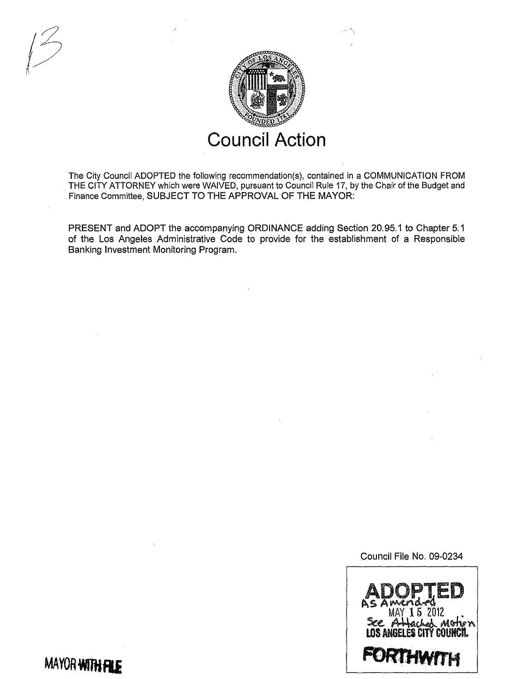

The City Council ADOPTED the following recommendation(s), contained in a COMMUNICATION FROM THE CITY ATTORNEY which were WAIVED, pursuant to Council Rule 17, by the Chair of the Budget and Finance Committee, SUBJECT TO THE APPROVAL OF THE MAYOR:

PRESENT and ADOPT the accompanying ORDINANCE adding Section 20.95.1 to Chapter 5.1 of the Los Angeles Administrative Code to provide for the establishment of a Responsible Banking Investment Monitoring Program.

Council File No. 09-0234



**MAYOR WITH FILE** 

 $\bigtriangledown$